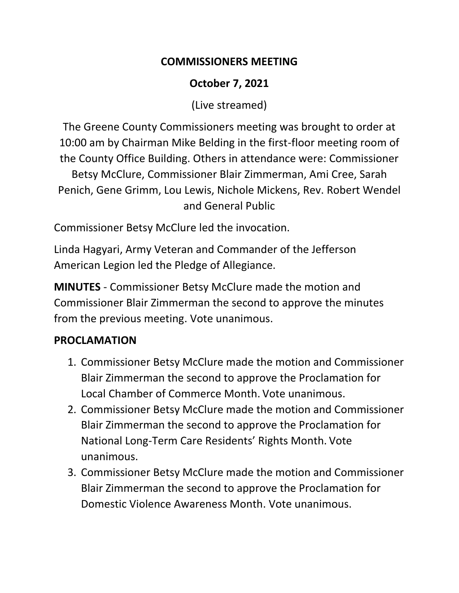#### **COMMISSIONERS MEETING**

# **October 7, 2021**

(Live streamed)

The Greene County Commissioners meeting was brought to order at 10:00 am by Chairman Mike Belding in the first-floor meeting room of the County Office Building. Others in attendance were: Commissioner Betsy McClure, Commissioner Blair Zimmerman, Ami Cree, Sarah Penich, Gene Grimm, Lou Lewis, Nichole Mickens, Rev. Robert Wendel and General Public

Commissioner Betsy McClure led the invocation.

Linda Hagyari, Army Veteran and Commander of the Jefferson American Legion led the Pledge of Allegiance.

**MINUTES** - Commissioner Betsy McClure made the motion and Commissioner Blair Zimmerman the second to approve the minutes from the previous meeting. Vote unanimous.

## **PROCLAMATION**

- 1. Commissioner Betsy McClure made the motion and Commissioner Blair Zimmerman the second to approve the Proclamation for Local Chamber of Commerce Month. Vote unanimous.
- 2. Commissioner Betsy McClure made the motion and Commissioner Blair Zimmerman the second to approve the Proclamation for National Long-Term Care Residents' Rights Month. Vote unanimous.
- 3. Commissioner Betsy McClure made the motion and Commissioner Blair Zimmerman the second to approve the Proclamation for Domestic Violence Awareness Month. Vote unanimous.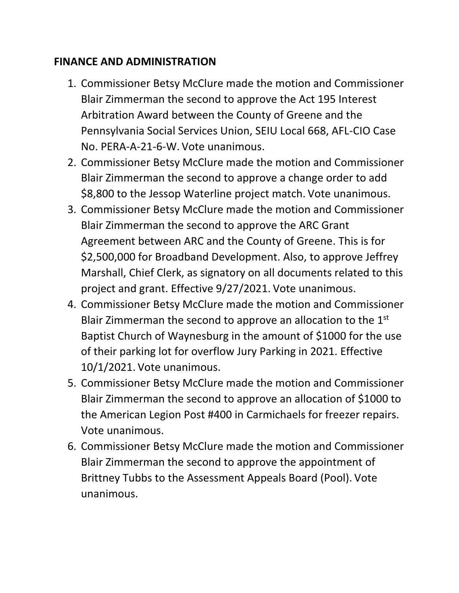#### **FINANCE AND ADMINISTRATION**

- 1. Commissioner Betsy McClure made the motion and Commissioner Blair Zimmerman the second to approve the Act 195 Interest Arbitration Award between the County of Greene and the Pennsylvania Social Services Union, SEIU Local 668, AFL-CIO Case No. PERA-A-21-6-W. Vote unanimous.
- 2. Commissioner Betsy McClure made the motion and Commissioner Blair Zimmerman the second to approve a change order to add \$8,800 to the Jessop Waterline project match. Vote unanimous.
- 3. Commissioner Betsy McClure made the motion and Commissioner Blair Zimmerman the second to approve the ARC Grant Agreement between ARC and the County of Greene. This is for \$2,500,000 for Broadband Development. Also, to approve Jeffrey Marshall, Chief Clerk, as signatory on all documents related to this project and grant. Effective 9/27/2021. Vote unanimous.
- 4. Commissioner Betsy McClure made the motion and Commissioner Blair Zimmerman the second to approve an allocation to the 1<sup>st</sup> Baptist Church of Waynesburg in the amount of \$1000 for the use of their parking lot for overflow Jury Parking in 2021. Effective 10/1/2021. Vote unanimous.
- 5. Commissioner Betsy McClure made the motion and Commissioner Blair Zimmerman the second to approve an allocation of \$1000 to the American Legion Post #400 in Carmichaels for freezer repairs. Vote unanimous.
- 6. Commissioner Betsy McClure made the motion and Commissioner Blair Zimmerman the second to approve the appointment of Brittney Tubbs to the Assessment Appeals Board (Pool). Vote unanimous.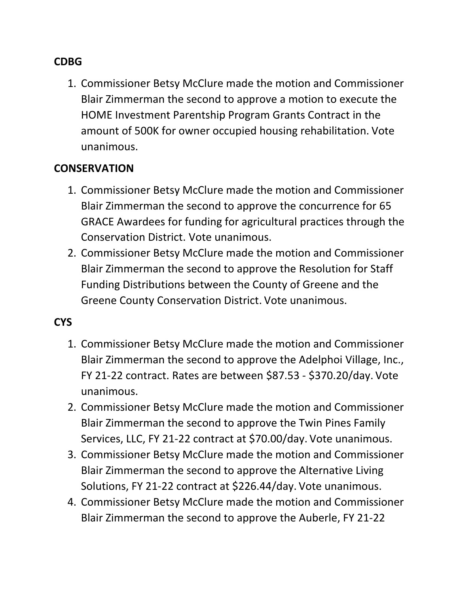#### **CDBG**

1. Commissioner Betsy McClure made the motion and Commissioner Blair Zimmerman the second to approve a motion to execute the HOME Investment Parentship Program Grants Contract in the amount of 500K for owner occupied housing rehabilitation. Vote unanimous.

#### **CONSERVATION**

- 1. Commissioner Betsy McClure made the motion and Commissioner Blair Zimmerman the second to approve the concurrence for 65 GRACE Awardees for funding for agricultural practices through the Conservation District. Vote unanimous.
- 2. Commissioner Betsy McClure made the motion and Commissioner Blair Zimmerman the second to approve the Resolution for Staff Funding Distributions between the County of Greene and the Greene County Conservation District. Vote unanimous.

#### **CYS**

- 1. Commissioner Betsy McClure made the motion and Commissioner Blair Zimmerman the second to approve the Adelphoi Village, Inc., FY 21-22 contract. Rates are between \$87.53 - \$370.20/day. Vote unanimous.
- 2. Commissioner Betsy McClure made the motion and Commissioner Blair Zimmerman the second to approve the Twin Pines Family Services, LLC, FY 21-22 contract at \$70.00/day. Vote unanimous.
- 3. Commissioner Betsy McClure made the motion and Commissioner Blair Zimmerman the second to approve the Alternative Living Solutions, FY 21-22 contract at \$226.44/day. Vote unanimous.
- 4. Commissioner Betsy McClure made the motion and Commissioner Blair Zimmerman the second to approve the Auberle, FY 21-22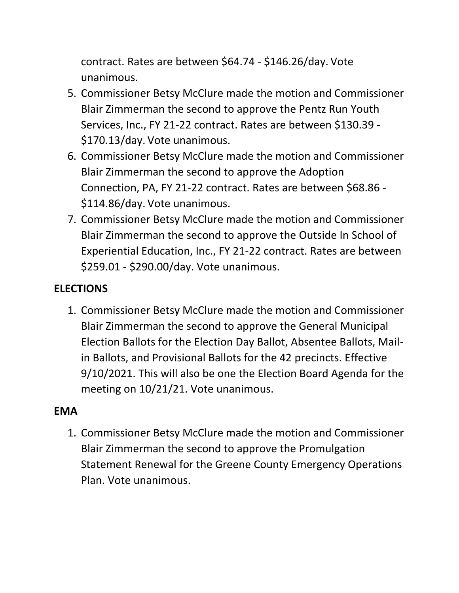contract. Rates are between \$64.74 - \$146.26/day. Vote unanimous.

- 5. Commissioner Betsy McClure made the motion and Commissioner Blair Zimmerman the second to approve the Pentz Run Youth Services, Inc., FY 21-22 contract. Rates are between \$130.39 - \$170.13/day. Vote unanimous.
- 6. Commissioner Betsy McClure made the motion and Commissioner Blair Zimmerman the second to approve the Adoption Connection, PA, FY 21-22 contract. Rates are between \$68.86 - \$114.86/day. Vote unanimous.
- 7. Commissioner Betsy McClure made the motion and Commissioner Blair Zimmerman the second to approve the Outside In School of Experiential Education, Inc., FY 21-22 contract. Rates are between \$259.01 - \$290.00/day. Vote unanimous.

# **ELECTIONS**

1. Commissioner Betsy McClure made the motion and Commissioner Blair Zimmerman the second to approve the General Municipal Election Ballots for the Election Day Ballot, Absentee Ballots, Mailin Ballots, and Provisional Ballots for the 42 precincts. Effective 9/10/2021. This will also be one the Election Board Agenda for the meeting on 10/21/21. Vote unanimous.

## **EMA**

1. Commissioner Betsy McClure made the motion and Commissioner Blair Zimmerman the second to approve the Promulgation Statement Renewal for the Greene County Emergency Operations Plan. Vote unanimous.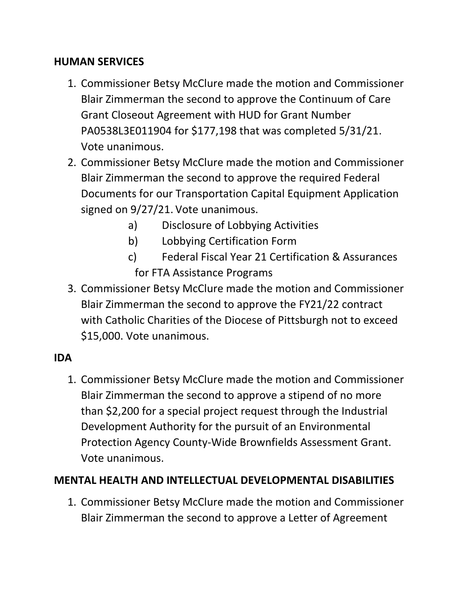#### **HUMAN SERVICES**

- 1. Commissioner Betsy McClure made the motion and Commissioner Blair Zimmerman the second to approve the Continuum of Care Grant Closeout Agreement with HUD for Grant Number PA0538L3E011904 for \$177,198 that was completed 5/31/21. Vote unanimous.
- 2. Commissioner Betsy McClure made the motion and Commissioner Blair Zimmerman the second to approve the required Federal Documents for our Transportation Capital Equipment Application signed on 9/27/21. Vote unanimous.
	- a) Disclosure of Lobbying Activities
	- b) Lobbying Certification Form
	- c) Federal Fiscal Year 21 Certification & Assurances for FTA Assistance Programs
- 3. Commissioner Betsy McClure made the motion and Commissioner Blair Zimmerman the second to approve the FY21/22 contract with Catholic Charities of the Diocese of Pittsburgh not to exceed \$15,000. Vote unanimous.

## **IDA**

1. Commissioner Betsy McClure made the motion and Commissioner Blair Zimmerman the second to approve a stipend of no more than \$2,200 for a special project request through the Industrial Development Authority for the pursuit of an Environmental Protection Agency County-Wide Brownfields Assessment Grant. Vote unanimous.

## **MENTAL HEALTH AND INTELLECTUAL DEVELOPMENTAL DISABILITIES**

1. Commissioner Betsy McClure made the motion and Commissioner Blair Zimmerman the second to approve a Letter of Agreement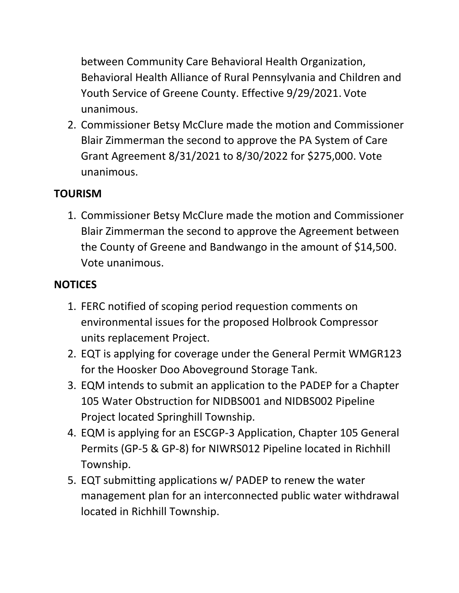between Community Care Behavioral Health Organization, Behavioral Health Alliance of Rural Pennsylvania and Children and Youth Service of Greene County. Effective 9/29/2021. Vote unanimous.

2. Commissioner Betsy McClure made the motion and Commissioner Blair Zimmerman the second to approve the PA System of Care Grant Agreement 8/31/2021 to 8/30/2022 for \$275,000. Vote unanimous.

# **TOURISM**

1. Commissioner Betsy McClure made the motion and Commissioner Blair Zimmerman the second to approve the Agreement between the County of Greene and Bandwango in the amount of \$14,500. Vote unanimous.

# **NOTICES**

- 1. FERC notified of scoping period requestion comments on environmental issues for the proposed Holbrook Compressor units replacement Project.
- 2. EQT is applying for coverage under the General Permit WMGR123 for the Hoosker Doo Aboveground Storage Tank.
- 3. EQM intends to submit an application to the PADEP for a Chapter 105 Water Obstruction for NIDBS001 and NIDBS002 Pipeline Project located Springhill Township.
- 4. EQM is applying for an ESCGP-3 Application, Chapter 105 General Permits (GP-5 & GP-8) for NIWRS012 Pipeline located in Richhill Township.
- 5. EQT submitting applications w/ PADEP to renew the water management plan for an interconnected public water withdrawal located in Richhill Township.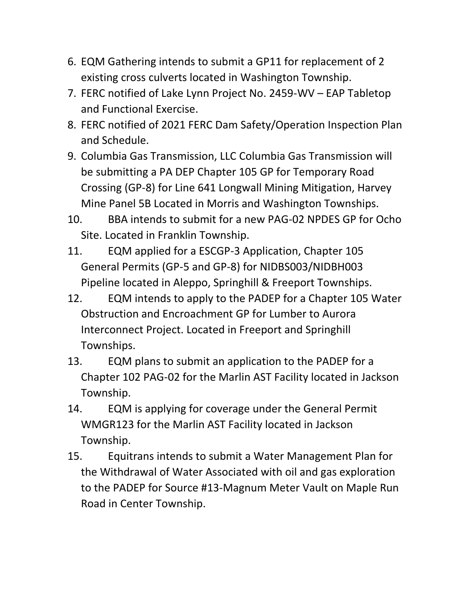- 6. EQM Gathering intends to submit a GP11 for replacement of 2 existing cross culverts located in Washington Township.
- 7. FERC notified of Lake Lynn Project No. 2459-WV EAP Tabletop and Functional Exercise.
- 8. FERC notified of 2021 FERC Dam Safety/Operation Inspection Plan and Schedule.
- 9. Columbia Gas Transmission, LLC Columbia Gas Transmission will be submitting a PA DEP Chapter 105 GP for Temporary Road Crossing (GP-8) for Line 641 Longwall Mining Mitigation, Harvey Mine Panel 5B Located in Morris and Washington Townships.
- 10. BBA intends to submit for a new PAG-02 NPDES GP for Ocho Site. Located in Franklin Township.
- 11. EQM applied for a ESCGP-3 Application, Chapter 105 General Permits (GP-5 and GP-8) for NIDBS003/NIDBH003 Pipeline located in Aleppo, Springhill & Freeport Townships.
- 12. EQM intends to apply to the PADEP for a Chapter 105 Water Obstruction and Encroachment GP for Lumber to Aurora Interconnect Project. Located in Freeport and Springhill Townships.
- 13. EQM plans to submit an application to the PADEP for a Chapter 102 PAG-02 for the Marlin AST Facility located in Jackson Township.
- 14. EQM is applying for coverage under the General Permit WMGR123 for the Marlin AST Facility located in Jackson Township.
- 15. Equitrans intends to submit a Water Management Plan for the Withdrawal of Water Associated with oil and gas exploration to the PADEP for Source #13-Magnum Meter Vault on Maple Run Road in Center Township.